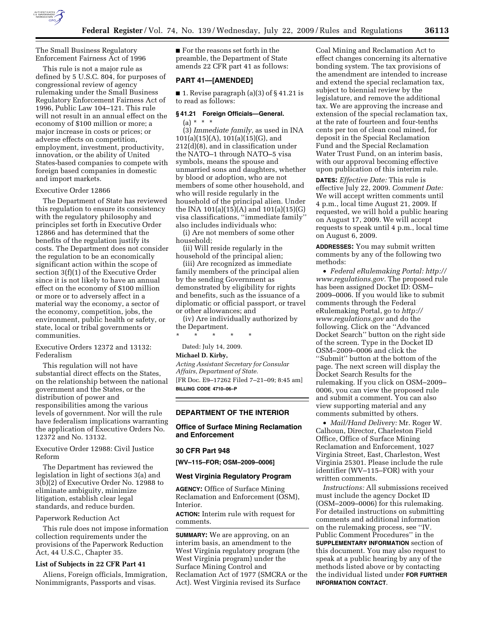

The Small Business Regulatory Enforcement Fairness Act of 1996

This rule is not a major rule as defined by 5 U.S.C. 804, for purposes of congressional review of agency rulemaking under the Small Business Regulatory Enforcement Fairness Act of 1996, Public Law 104–121. This rule will not result in an annual effect on the economy of \$100 million or more; a major increase in costs or prices; or adverse effects on competition, employment, investment, productivity, innovation, or the ability of United States-based companies to compete with foreign based companies in domestic and import markets.

## Executive Order 12866

The Department of State has reviewed this regulation to ensure its consistency with the regulatory philosophy and principles set forth in Executive Order 12866 and has determined that the benefits of the regulation justify its costs. The Department does not consider the regulation to be an economically significant action within the scope of section 3(f)(1) of the Executive Order since it is not likely to have an annual effect on the economy of \$100 million or more or to adversely affect in a material way the economy, a sector of the economy, competition, jobs, the environment, public health or safety, or state, local or tribal governments or communities.

Executive Orders 12372 and 13132: Federalism

This regulation will not have substantial direct effects on the States, on the relationship between the national government and the States, or the distribution of power and responsibilities among the various levels of government. Nor will the rule have federalism implications warranting the application of Executive Orders No. 12372 and No. 13132.

Executive Order 12988: Civil Justice Reform

The Department has reviewed the legislation in light of sections 3(a) and 3(b)(2) of Executive Order No. 12988 to eliminate ambiguity, minimize litigation, establish clear legal standards, and reduce burden.

### Paperwork Reduction Act

This rule does not impose information collection requirements under the provisions of the Paperwork Reduction Act, 44 U.S.C., Chapter 35.

### **List of Subjects in 22 CFR Part 41**

Aliens, Foreign officials, Immigration, Nonimmigrants, Passports and visas.

■ For the reasons set forth in the preamble, the Department of State amends 22 CFR part 41 as follows:

## **PART 41—[AMENDED]**

■ 1. Revise paragraph (a)(3) of § 41.21 is to read as follows:

#### **§ 41.21 Foreign Officials—General.**

(a) \* \* \*

(3) *Immediate family,* as used in INA  $101(a)(15)(A), 101(a)(15)(G),$  and 212(d)(8), and in classification under the NATO–1 through NATO–5 visa symbols, means the spouse and unmarried sons and daughters, whether by blood or adoption, who are not members of some other household, and who will reside regularly in the household of the principal alien. Under the INA 101(a)(15)(A) and 101(a)(15)(G) visa classifications, ''immediate family'' also includes individuals who:

(i) Are not members of some other household;

(ii) Will reside regularly in the household of the principal alien;

(iii) Are recognized as immediate family members of the principal alien by the sending Government as demonstrated by eligibility for rights and benefits, such as the issuance of a diplomatic or official passport, or travel or other allowances; and

(iv) Are individually authorized by the Department.

\* \* \* \* \* Dated: July 14, 2009.

### **Michael D. Kirby,**

*Acting Assistant Secretary for Consular Affairs, Department of State.*  [FR Doc. E9–17262 Filed 7–21–09; 8:45 am] **BILLING CODE 4710–06–P** 

**DEPARTMENT OF THE INTERIOR** 

## **Office of Surface Mining Reclamation and Enforcement**

#### **30 CFR Part 948**

**[WV–115–FOR; OSM–2009–0006]** 

#### **West Virginia Regulatory Program**

**AGENCY:** Office of Surface Mining Reclamation and Enforcement (OSM), Interior.

**ACTION:** Interim rule with request for comments.

**SUMMARY:** We are approving, on an interim basis, an amendment to the West Virginia regulatory program (the West Virginia program) under the Surface Mining Control and Reclamation Act of 1977 (SMCRA or the Act). West Virginia revised its Surface

Coal Mining and Reclamation Act to effect changes concerning its alternative bonding system. The tax provisions of the amendment are intended to increase and extend the special reclamation tax, subject to biennial review by the legislature, and remove the additional tax. We are approving the increase and extension of the special reclamation tax, at the rate of fourteen and four-tenths cents per ton of clean coal mined, for deposit in the Special Reclamation Fund and the Special Reclamation Water Trust Fund, on an interim basis, with our approval becoming effective upon publication of this interim rule.

**DATES:** *Effective Date:* This rule is effective July 22, 2009. *Comment Date:*  We will accept written comments until 4 p.m., local time August 21, 2009. If requested, we will hold a public hearing on August 17, 2009. We will accept requests to speak until 4 p.m., local time on August 6, 2009.

**ADDRESSES:** You may submit written comments by any of the following two methods:

• *Federal eRulemaking Portal: http:// www.regulations.gov.* The proposed rule has been assigned Docket ID: OSM– 2009–0006. If you would like to submit comments through the Federal eRulemaking Portal, go to *http:// www.regulations.gov* and do the following. Click on the ''Advanced Docket Search'' button on the right side of the screen. Type in the Docket ID OSM–2009–0006 and click the ''Submit'' button at the bottom of the page. The next screen will display the Docket Search Results for the rulemaking. If you click on OSM–2009– 0006, you can view the proposed rule and submit a comment. You can also view supporting material and any comments submitted by others.

• *Mail/Hand Delivery:* Mr. Roger W. Calhoun, Director, Charleston Field Office, Office of Surface Mining Reclamation and Enforcement, 1027 Virginia Street, East, Charleston, West Virginia 25301. Please include the rule identifier (WV–115–FOR) with your written comments.

*Instructions:* All submissions received must include the agency Docket ID (OSM–2009–0006) for this rulemaking. For detailed instructions on submitting comments and additional information on the rulemaking process, see ''IV. Public Comment Procedures'' in the **SUPPLEMENTARY INFORMATION** section of this document. You may also request to speak at a public hearing by any of the methods listed above or by contacting the individual listed under **FOR FURTHER INFORMATION CONTACT**.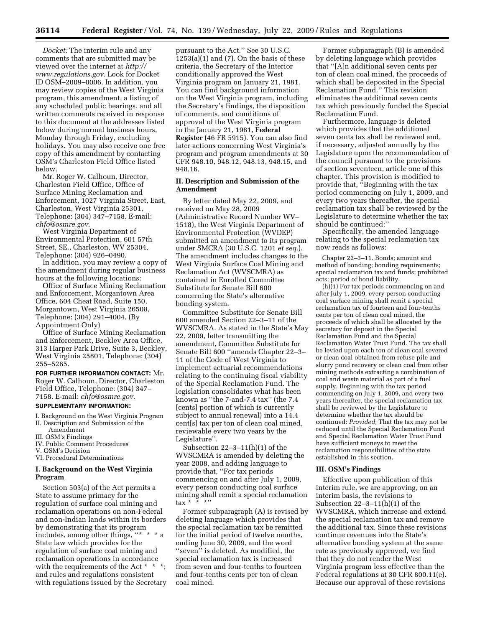*Docket:* The interim rule and any comments that are submitted may be viewed over the internet at *http:// www.regulations.gov.* Look for Docket ID OSM–2009–0006. In addition, you may review copies of the West Virginia program, this amendment, a listing of any scheduled public hearings, and all written comments received in response to this document at the addresses listed below during normal business hours, Monday through Friday, excluding holidays. You may also receive one free copy of this amendment by contacting OSM's Charleston Field Office listed below.

Mr. Roger W. Calhoun, Director, Charleston Field Office, Office of Surface Mining Reclamation and Enforcement, 1027 Virginia Street, East, Charleston, West Virginia 25301, Telephone: (304) 347–7158. E-mail: *chfo@osmre.gov.* 

West Virginia Department of Environmental Protection, 601 57th Street, SE., Charleston, WV 25304, Telephone: (304) 926–0490.

In addition, you may review a copy of the amendment during regular business hours at the following locations:

Office of Surface Mining Reclamation and Enforcement, Morgantown Area Office, 604 Cheat Road, Suite 150, Morgantown, West Virginia 26508, Telephone: (304) 291–4004. (By Appointment Only)

Office of Surface Mining Reclamation and Enforcement, Beckley Area Office, 313 Harper Park Drive, Suite 3, Beckley, West Virginia 25801, Telephone: (304) 255–5265.

**FOR FURTHER INFORMATION CONTACT:** Mr. Roger W. Calhoun, Director, Charleston Field Office, Telephone: (304) 347– 7158. E-mail: *chfo@osmre.gov.* 

# **SUPPLEMENTARY INFORMATION:**

I. Background on the West Virginia Program II. Description and Submission of the

- Amendment III. OSM's Findings
- IV. Public Comment Procedures
- 
- V. OSM's Decision

VI. Procedural Determinations

## **I. Background on the West Virginia Program**

Section 503(a) of the Act permits a State to assume primacy for the regulation of surface coal mining and reclamation operations on non-Federal and non-Indian lands within its borders by demonstrating that its program includes, among other things, "\* State law which provides for the regulation of surface coal mining and reclamation operations in accordance with the requirements of the Act  $*$   $*$ and rules and regulations consistent with regulations issued by the Secretary pursuant to the Act.'' See 30 U.S.C.  $1253(a)(1)$  and  $(7)$ . On the basis of these criteria, the Secretary of the Interior conditionally approved the West Virginia program on January 21, 1981. You can find background information on the West Virginia program, including the Secretary's findings, the disposition of comments, and conditions of approval of the West Virginia program in the January 21, 1981, **Federal Register** (46 FR 5915). You can also find later actions concerning West Virginia's program and program amendments at 30 CFR 948.10, 948.12, 948.13, 948.15, and 948.16.

## **II. Description and Submission of the Amendment**

By letter dated May 22, 2009, and received on May 28, 2009 (Administrative Record Number WV– 1518), the West Virginia Department of Environmental Protection (WVDEP) submitted an amendment to its program under SMCRA (30 U.S.C. 1201 *et seq.*). The amendment includes changes to the West Virginia Surface Coal Mining and Reclamation Act (WVSCMRA) as contained in Enrolled Committee Substitute for Senate Bill 600 concerning the State's alternative bonding system.

Committee Substitute for Senate Bill 600 amended Section 22–3–11 of the WVSCMRA. As stated in the State's May 22, 2009, letter transmitting the amendment, Committee Substitute for Senate Bill 600 ''amends Chapter 22–3– 11 of the Code of West Virginia to implement actuarial recommendations relating to the continuing fiscal viability of the Special Reclamation Fund. The legislation consolidates what has been known as ''the 7-and-7.4 tax'' (the 7.4 [cents] portion of which is currently subject to annual renewal) into a 14.4 cent[s] tax per ton of clean coal mined, reviewable every two years by the Legislature''.

Subsection 22–3–11(h)(1) of the WVSCMRA is amended by deleting the year 2008, and adding language to provide that, ''For tax periods commencing on and after July 1, 2009, every person conducting coal surface mining shall remit a special reclamation tax $*$ 

Former subparagraph (A) is revised by deleting language which provides that the special reclamation tax be remitted for the initial period of twelve months, ending June 30, 2009, and the word ''seven'' is deleted. As modified, the special reclamation tax is increased from seven and four-tenths to fourteen and four-tenths cents per ton of clean coal mined.

Former subparagraph (B) is amended by deleting language which provides that ''[A]n additional seven cents per ton of clean coal mined, the proceeds of which shall be deposited in the Special Reclamation Fund.'' This revision eliminates the additional seven cents tax which previously funded the Special Reclamation Fund.

Furthermore, language is deleted which provides that the additional seven cents tax shall be reviewed and, if necessary, adjusted annually by the Legislature upon the recommendation of the council pursuant to the provisions of section seventeen, article one of this chapter. This provision is modified to provide that, ''Beginning with the tax period commencing on July 1, 2009, and every two years thereafter, the special reclamation tax shall be reviewed by the Legislature to determine whether the tax should be continued:''

Specifically, the amended language relating to the special reclamation tax now reads as follows:

Chapter 22–3–11. Bonds; amount and method of bonding; bonding requirements; special reclamation tax and funds; prohibited acts; period of bond liability.

 $(h)(1)$  For tax periods commencing on and after July 1, 2009, every person conducting coal surface mining shall remit a special reclamation tax of fourteen and four-tenths cents per ton of clean coal mined, the proceeds of which shall be allocated by the secretary for deposit in the Special Reclamation Fund and the Special Reclamation Water Trust Fund. The tax shall be levied upon each ton of clean coal severed or clean coal obtained from refuse pile and slurry pond recovery or clean coal from other mining methods extracting a combination of coal and waste material as part of a fuel supply. Beginning with the tax period commencing on July 1, 2009, and every two years thereafter, the special reclamation tax shall be reviewed by the Legislature to determine whether the tax should be continued: *Provided,* That the tax may not be reduced until the Special Reclamation Fund and Special Reclamation Water Trust Fund have sufficient moneys to meet the reclamation responsibilities of the state established in this section.

#### **III. OSM's Findings**

Effective upon publication of this interim rule, we are approving, on an interim basis, the revisions to Subsection 22–3–11(h)(1) of the WVSCMRA, which increase and extend the special reclamation tax and remove the additional tax. Since these revisions continue revenues into the State's alternative bonding system at the same rate as previously approved, we find that they do not render the West Virginia program less effective than the Federal regulations at 30 CFR 800.11(e). Because our approval of these revisions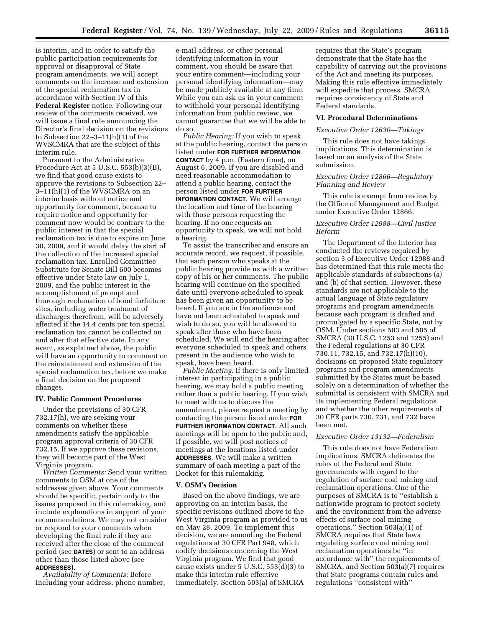is interim, and in order to satisfy the public participation requirements for approval or disapproval of State program amendments, we will accept comments on the increase and extension of the special reclamation tax in accordance with Section IV of this **Federal Register** notice. Following our review of the comments received, we will issue a final rule announcing the Director's final decision on the revisions to Subsection 22–3–11(h)(1) of the WVSCMRA that are the subject of this interim rule.

Pursuant to the Administrative Procedure Act at 5 U.S.C. 553(b)(3)(B), we find that good cause exists to approve the revisions to Subsection 22– 3–11(h)(1) of the WVSCMRA on an interim basis without notice and opportunity for comment, because to require notice and opportunity for comment now would be contrary to the public interest in that the special reclamation tax is due to expire on June 30, 2009, and it would delay the start of the collection of the increased special reclamation tax. Enrolled Committee Substitute for Senate Bill 600 becomes effective under State law on July 1, 2009, and the public interest in the accomplishment of prompt and thorough reclamation of bond forfeiture sites, including water treatment of discharges therefrom, will be adversely affected if the 14.4 cents per ton special reclamation tax cannot be collected on and after that effective date. In any event, as explained above, the public will have an opportunity to comment on the reinstatement and extension of the special reclamation tax, before we make a final decision on the proposed changes.

## **IV. Public Comment Procedures**

Under the provisions of 30 CFR 732.17(h), we are seeking your comments on whether these amendments satisfy the applicable program approval criteria of 30 CFR 732.15. If we approve these revisions, they will become part of the West Virginia program.

*Written Comments:* Send your written comments to OSM at one of the addresses given above. Your comments should be specific, pertain only to the issues proposed in this rulemaking, and include explanations in support of your recommendations. We may not consider or respond to your comments when developing the final rule if they are received after the close of the comment period (see **DATES**) or sent to an address other than those listed above (see **ADDRESSES**).

*Availability of Comments:* Before including your address, phone number,

e-mail address, or other personal identifying information in your comment, you should be aware that your entire comment—including your personal identifying information—may be made publicly available at any time. While you can ask us in your comment to withhold your personal identifying information from public review, we cannot guarantee that we will be able to do so.

*Public Hearing:* If you wish to speak at the public hearing, contact the person listed under **FOR FURTHER INFORMATION CONTACT** by 4 p.m. (Eastern time), on August 6, 2009. If you are disabled and need reasonable accommodation to attend a public hearing, contact the person listed under **FOR FURTHER INFORMATION CONTACT**. We will arrange the location and time of the hearing with those persons requesting the hearing. If no one requests an opportunity to speak, we will not hold a hearing.

To assist the transcriber and ensure an accurate record, we request, if possible, that each person who speaks at the public hearing provide us with a written copy of his or her comments. The public hearing will continue on the specified date until everyone scheduled to speak has been given an opportunity to be heard. If you are in the audience and have not been scheduled to speak and wish to do so, you will be allowed to speak after those who have been scheduled. We will end the hearing after everyone scheduled to speak and others present in the audience who wish to speak, have been heard.

*Public Meeting:* If there is only limited interest in participating in a public hearing, we may hold a public meeting rather than a public hearing. If you wish to meet with us to discuss the amendment, please request a meeting by contacting the person listed under **FOR FURTHER INFORMATION CONTACT**. All such meetings will be open to the public and, if possible, we will post notices of meetings at the locations listed under **ADDRESSES**. We will make a written summary of each meeting a part of the Docket for this rulemaking.

#### **V. OSM's Decision**

Based on the above findings, we are approving on an interim basis, the specific revisions outlined above to the West Virginia program as provided to us on May 28, 2009. To implement this decision, we are amending the Federal regulations at 30 CFR Part 948, which codify decisions concerning the West Virginia program. We find that good cause exists under 5 U.S.C.  $553\text{d}(3)$  to make this interim rule effective immediately. Section 503(a) of SMCRA

requires that the State's program demonstrate that the State has the capability of carrying out the provisions of the Act and meeting its purposes. Making this rule effective immediately will expedite that process. SMCRA requires consistency of State and Federal standards.

#### **VI. Procedural Determinations**

## *Executive Order 12630—Takings*

This rule does not have takings implications. This determination is based on an analysis of the State submission.

### *Executive Order 12866—Regulatory Planning and Review*

This rule is exempt from review by the Office of Management and Budget under Executive Order 12866.

### *Executive Order 12988—Civil Justice Reform*

The Department of the Interior has conducted the reviews required by section 3 of Executive Order 12988 and has determined that this rule meets the applicable standards of subsections (a) and (b) of that section. However, these standards are not applicable to the actual language of State regulatory programs and program amendments because each program is drafted and promulgated by a specific State, not by OSM. Under sections 503 and 505 of SMCRA (30 U.S.C. 1253 and 1255) and the Federal regulations at 30 CFR 730.11, 732.15, and 732.17(h)(10), decisions on proposed State regulatory programs and program amendments submitted by the States must be based solely on a determination of whether the submittal is consistent with SMCRA and its implementing Federal regulations and whether the other requirements of 30 CFR parts 730, 731, and 732 have been met.

### *Executive Order 13132—Federalism*

This rule does not have Federalism implications. SMCRA delineates the roles of the Federal and State governments with regard to the regulation of surface coal mining and reclamation operations. One of the purposes of SMCRA is to ''establish a nationwide program to protect society and the environment from the adverse effects of surface coal mining operations." Section  $503(a)(1)$  of SMCRA requires that State laws regulating surface coal mining and reclamation operations be ''in accordance with'' the requirements of SMCRA, and Section 503(a)(7) requires that State programs contain rules and regulations ''consistent with''